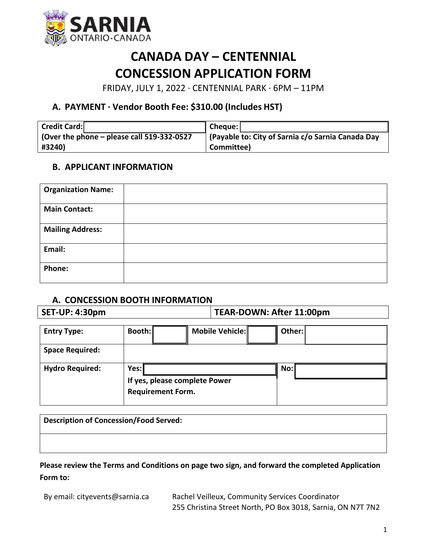

# **CANADA DAY – CENTENNIAL CONCESSION APPLICATION FORM**

FRIDAY, JULY 1, 2022 ∙ CENTENNIAL PARK ∙ 6PM – 11PM

## **A. PAYMENT ∙ Vendor Booth Fee: \$310.00 (Includes HST)**

| Credit Card:                                 | Cheque:                                           |
|----------------------------------------------|---------------------------------------------------|
| (Over the phone $-$ please call 519-332-0527 | (Payable to: City of Sarnia c/o Sarnia Canada Day |
| #3240)                                       | Committee)                                        |

### **B. APPLICANT INFORMATION**

| <b>Organization Name:</b> |  |
|---------------------------|--|
| <b>Main Contact:</b>      |  |
| <b>Mailing Address:</b>   |  |
| Email:                    |  |
| <b>Phone:</b>             |  |

#### **A. CONCESSION BOOTH INFORMATION**

**SET-UP: 4:30pm TEAR-DOWN: After 11:00pm**

| <b>Entry Type:</b>     | Booth:                                                            |  | Mobile Vehicle: |  | Other: |  |
|------------------------|-------------------------------------------------------------------|--|-----------------|--|--------|--|
| <b>Space Required:</b> |                                                                   |  |                 |  |        |  |
| <b>Hydro Required:</b> | Yes:<br>If yes, please complete Power<br><b>Requirement Form.</b> |  | No:             |  |        |  |

| Description of Concession/Food Served: |  |  |  |  |  |
|----------------------------------------|--|--|--|--|--|
|                                        |  |  |  |  |  |

**Please review the Terms and Conditions on page two sign, and forward the completed Application Form to:**

By email: [cityevents@sarnia.ca](mailto:cityevents@sarnia.ca) Rachel Veilleux, Community Services Coordinator 255 Christina Street North, PO Box 3018, Sarnia, ON N7T 7N2